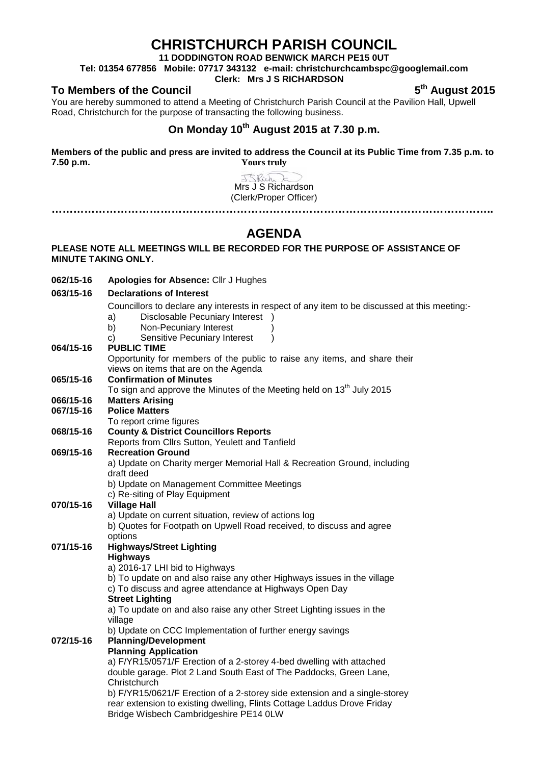# **CHRISTCHURCH PARISH COUNCIL**

**11 DODDINGTON ROAD BENWICK MARCH PE15 0UT**

**Tel: 01354 677856 Mobile: 07717 343132 e-mail: christchurchcambspc@googlemail.com**

### **Clerk: Mrs J S RICHARDSON**

**To Members of the Council 1999 12015 5th August** 2015

You are hereby summoned to attend a Meeting of Christchurch Parish Council at the Pavilion Hall, Upwell Road, Christchurch for the purpose of transacting the following business.

## **On Monday 10th August 2015 at 7.30 p.m.**

**Members of the public and press are invited to address the Council at its Public Time from 7.35 p.m. to 7.50 p.m. Yours truly**

> J<Rich Mrs J S Richardson (Clerk/Proper Officer) **…………………………………………………………………………………………………………..**

> > **AGENDA**

### **PLEASE NOTE ALL MEETINGS WILL BE RECORDED FOR THE PURPOSE OF ASSISTANCE OF MINUTE TAKING ONLY.**

**062/15-16 Apologies for Absence:** Cllr J Hughes

#### **063/15-16 Declarations of Interest**

Councillors to declare any interests in respect of any item to be discussed at this meeting:-

- a) Disclosable Pecuniary Interest )<br>b) Non-Pecuniary Interest (1)
- Non-Pecuniary Interest
- c) Sensitive Pecuniary Interest )
- **064/15-16 PUBLIC TIME** Opportunity for members of the public to raise any items, and share their views on items that are on the Agenda **065/15-16 Confirmation of Minutes** To sign and approve the Minutes of the Meeting held on  $13<sup>th</sup>$  July 2015 **066/15-16 Matters Arising 067/15-16 Police Matters** To report crime figures **068/15-16 County & District Councillors Reports** Reports from Cllrs Sutton, Yeulett and Tanfield **069/15-16 Recreation Ground** a) Update on Charity merger Memorial Hall & Recreation Ground, including draft deed b) Update on Management Committee Meetings c) Re-siting of Play Equipment **070/15-16 Village Hall** a) Update on current situation, review of actions log b) Quotes for Footpath on Upwell Road received, to discuss and agree options **071/15-16 Highways/Street Lighting Highways** a) 2016-17 LHI bid to Highways b) To update on and also raise any other Highways issues in the village c) To discuss and agree attendance at Highways Open Day **Street Lighting** a) To update on and also raise any other Street Lighting issues in the village b) Update on CCC Implementation of further energy savings **072/15-16 Planning/Development Planning Application** a) F/YR15/0571/F Erection of a 2-storey 4-bed dwelling with attached

double garage. Plot 2 Land South East of The Paddocks, Green Lane, **Christchurch** 

b) F/YR15/0621/F Erection of a 2-storey side extension and a single-storey rear extension to existing dwelling, Flints Cottage Laddus Drove Friday Bridge Wisbech Cambridgeshire PE14 0LW